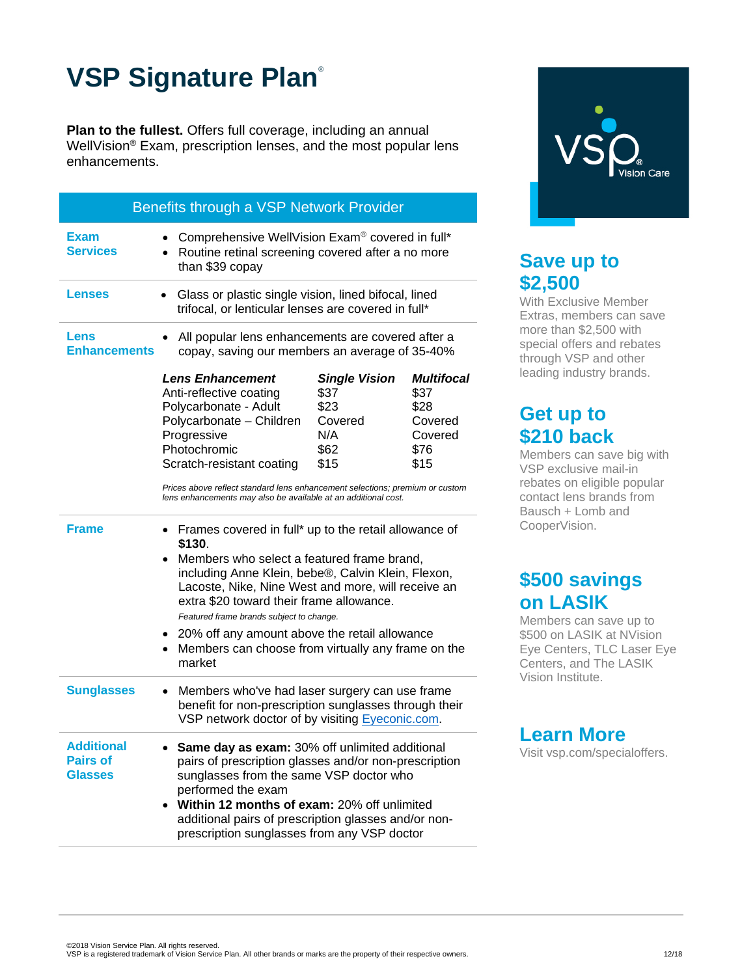# **VSP Signature Plan**®

**Plan to the fullest.** Offers full coverage, including an annual WellVision® Exam, prescription lenses, and the most popular lens enhancements.

| Benefits through a VSP Network Provider                |                                                                                                                                                                                                                                                                                                                                                                                                                                    |                                                                        |                                                                         |
|--------------------------------------------------------|------------------------------------------------------------------------------------------------------------------------------------------------------------------------------------------------------------------------------------------------------------------------------------------------------------------------------------------------------------------------------------------------------------------------------------|------------------------------------------------------------------------|-------------------------------------------------------------------------|
| Exam<br><b>Services</b>                                | Comprehensive WellVision Exam® covered in full*<br>Routine retinal screening covered after a no more<br>than \$39 copay                                                                                                                                                                                                                                                                                                            |                                                                        |                                                                         |
| <b>Lenses</b>                                          | Glass or plastic single vision, lined bifocal, lined<br>trifocal, or lenticular lenses are covered in full*                                                                                                                                                                                                                                                                                                                        |                                                                        |                                                                         |
| Lens<br><b>Enhancements</b>                            | All popular lens enhancements are covered after a<br>copay, saving our members an average of 35-40%                                                                                                                                                                                                                                                                                                                                |                                                                        |                                                                         |
|                                                        | <b>Lens Enhancement</b><br>Anti-reflective coating<br>Polycarbonate - Adult<br>Polycarbonate - Children<br>Progressive<br>Photochromic<br>Scratch-resistant coating<br>Prices above reflect standard lens enhancement selections; premium or custom<br>lens enhancements may also be available at an additional cost.                                                                                                              | <b>Single Vision</b><br>\$37<br>\$23<br>Covered<br>N/A<br>\$62<br>\$15 | <b>Multifocal</b><br>\$37<br>\$28<br>Covered<br>Covered<br>\$76<br>\$15 |
| <b>Frame</b>                                           | Frames covered in full* up to the retail allowance of<br>\$130.<br>Members who select a featured frame brand,<br>including Anne Klein, bebe®, Calvin Klein, Flexon,<br>Lacoste, Nike, Nine West and more, will receive an<br>extra \$20 toward their frame allowance.<br>Featured frame brands subject to change.<br>20% off any amount above the retail allowance<br>Members can choose from virtually any frame on the<br>market |                                                                        |                                                                         |
| <b>Sunglasses</b>                                      | Members who've had laser surgery can use frame<br>benefit for non-prescription sunglasses through their<br>VSP network doctor of by visiting Eyeconic.com.                                                                                                                                                                                                                                                                         |                                                                        |                                                                         |
| <b>Additional</b><br><b>Pairs of</b><br><b>Glasses</b> | Same day as exam: 30% off unlimited additional<br>pairs of prescription glasses and/or non-prescription<br>sunglasses from the same VSP doctor who<br>performed the exam<br>Within 12 months of exam: 20% off unlimited<br>additional pairs of prescription glasses and/or non-<br>prescription sunglasses from any VSP doctor                                                                                                     |                                                                        |                                                                         |



## **Save up to \$2,500**

With Exclusive Member Extras, members can save more than \$2,500 with special offers and rebates through VSP and other leading industry brands.

### **Get up to \$210 back**

Members can save big with VSP exclusive mail-in rebates on eligible popular contact lens brands from Bausch + Lomb and CooperVision.

### **\$500 savings on LASIK**

Members can save up to \$500 on LASIK at NVision Eye Centers, TLC Laser Eye Centers, and The LASIK Vision Institute.

#### **Learn More**

Visit vsp.com/specialoffers.